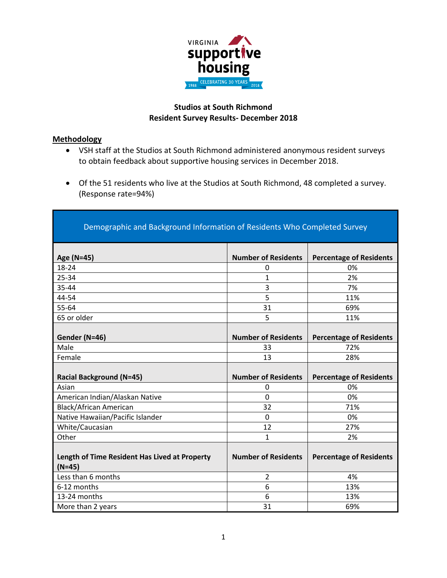

# **Studios at South Richmond Resident Survey Results- December 2018**

# **Methodology**

- VSH staff at the Studios at South Richmond administered anonymous resident surveys to obtain feedback about supportive housing services in December 2018.
- Of the 51 residents who live at the Studios at South Richmond, 48 completed a survey. (Response rate=94%)

| Demographic and Background Information of Residents Who Completed Survey |                            |                                |
|--------------------------------------------------------------------------|----------------------------|--------------------------------|
| Age (N=45)                                                               | <b>Number of Residents</b> | <b>Percentage of Residents</b> |
| 18-24                                                                    | 0                          | 0%                             |
| 25-34                                                                    | 1                          | 2%                             |
| 35-44                                                                    | 3                          | 7%                             |
| 44-54                                                                    | 5                          | 11%                            |
| 55-64                                                                    | 31                         | 69%                            |
| 65 or older                                                              | 5                          | 11%                            |
| Gender (N=46)                                                            | <b>Number of Residents</b> | <b>Percentage of Residents</b> |
| Male                                                                     | 33                         | 72%                            |
| Female                                                                   | 13                         | 28%                            |
| <b>Racial Background (N=45)</b>                                          | <b>Number of Residents</b> | <b>Percentage of Residents</b> |
| Asian                                                                    | 0                          | 0%                             |
| American Indian/Alaskan Native                                           | $\mathbf 0$                | 0%                             |
| <b>Black/African American</b>                                            | 32                         | 71%                            |
| Native Hawaiian/Pacific Islander                                         | $\mathbf 0$                | 0%                             |
| White/Caucasian                                                          | 12                         | 27%                            |
| Other                                                                    | 1                          | 2%                             |
| Length of Time Resident Has Lived at Property<br>$(N=45)$                | <b>Number of Residents</b> | <b>Percentage of Residents</b> |
| Less than 6 months                                                       | $\overline{2}$             | 4%                             |
| 6-12 months                                                              | 6                          | 13%                            |
| 13-24 months                                                             | 6                          | 13%                            |
| More than 2 years                                                        | 31                         | 69%                            |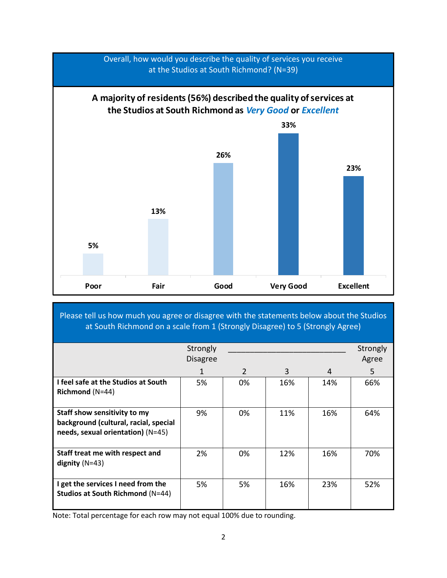

Please tell us how much you agree or disagree with the statements below about the Studios at South Richmond on a scale from 1 (Strongly Disagree) to 5 (Strongly Agree)

|                                                                                                            | Strongly<br><b>Disagree</b> |                |     |     | Strongly<br>Agree |
|------------------------------------------------------------------------------------------------------------|-----------------------------|----------------|-----|-----|-------------------|
|                                                                                                            | $\mathbf{1}$                | $\overline{2}$ | 3   | 4   | 5                 |
| I feel safe at the Studios at South<br>Richmond $(N=44)$                                                   | 5%                          | 0%             | 16% | 14% | 66%               |
| Staff show sensitivity to my<br>background (cultural, racial, special<br>needs, sexual orientation) (N=45) | 9%                          | 0%             | 11% | 16% | 64%               |
| Staff treat me with respect and<br>dignity $(N=43)$                                                        | 2%                          | 0%             | 12% | 16% | 70%               |
| I get the services I need from the<br><b>Studios at South Richmond (N=44)</b>                              | 5%                          | 5%             | 16% | 23% | 52%               |

Note: Total percentage for each row may not equal 100% due to rounding.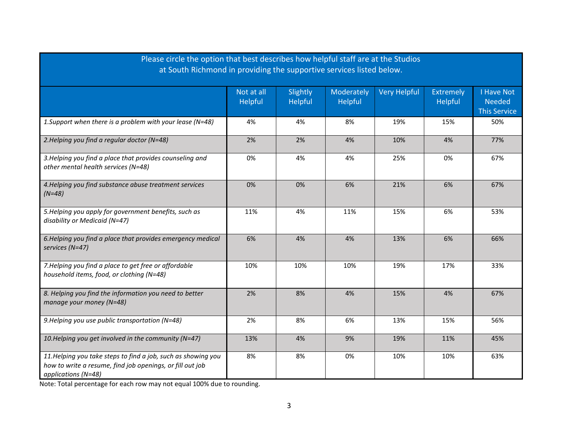| Please circle the option that best describes how helpful staff are at the Studios<br>at South Richmond in providing the supportive services listed below. |                       |                     |                       |                     |                             |                                                    |
|-----------------------------------------------------------------------------------------------------------------------------------------------------------|-----------------------|---------------------|-----------------------|---------------------|-----------------------------|----------------------------------------------------|
|                                                                                                                                                           | Not at all<br>Helpful | Slightly<br>Helpful | Moderately<br>Helpful | <b>Very Helpful</b> | <b>Extremely</b><br>Helpful | I Have Not<br><b>Needed</b><br><b>This Service</b> |
| 1. Support when there is a problem with your lease (N=48)                                                                                                 | 4%                    | 4%                  | 8%                    | 19%                 | 15%                         | 50%                                                |
| 2. Helping you find a regular doctor (N=48)                                                                                                               | 2%                    | 2%                  | 4%                    | 10%                 | 4%                          | 77%                                                |
| 3. Helping you find a place that provides counseling and<br>other mental health services (N=48)                                                           | 0%                    | 4%                  | 4%                    | 25%                 | 0%                          | 67%                                                |
| 4. Helping you find substance abuse treatment services<br>$(N=48)$                                                                                        | 0%                    | 0%                  | 6%                    | 21%                 | 6%                          | 67%                                                |
| 5. Helping you apply for government benefits, such as<br>disability or Medicaid (N=47)                                                                    | 11%                   | 4%                  | 11%                   | 15%                 | 6%                          | 53%                                                |
| 6. Helping you find a place that provides emergency medical<br>services (N=47)                                                                            | 6%                    | 4%                  | 4%                    | 13%                 | 6%                          | 66%                                                |
| 7. Helping you find a place to get free or affordable<br>household items, food, or clothing (N=48)                                                        | 10%                   | 10%                 | 10%                   | 19%                 | 17%                         | 33%                                                |
| 8. Helping you find the information you need to better<br>manage your money (N=48)                                                                        | 2%                    | 8%                  | 4%                    | 15%                 | 4%                          | 67%                                                |
| 9. Helping you use public transportation (N=48)                                                                                                           | 2%                    | 8%                  | 6%                    | 13%                 | 15%                         | 56%                                                |
| 10. Helping you get involved in the community (N=47)                                                                                                      | 13%                   | 4%                  | 9%                    | 19%                 | 11%                         | 45%                                                |
| 11. Helping you take steps to find a job, such as showing you<br>how to write a resume, find job openings, or fill out job<br>applications (N=48)         | 8%                    | 8%                  | 0%                    | 10%                 | 10%                         | 63%                                                |

Note: Total percentage for each row may not equal 100% due to rounding.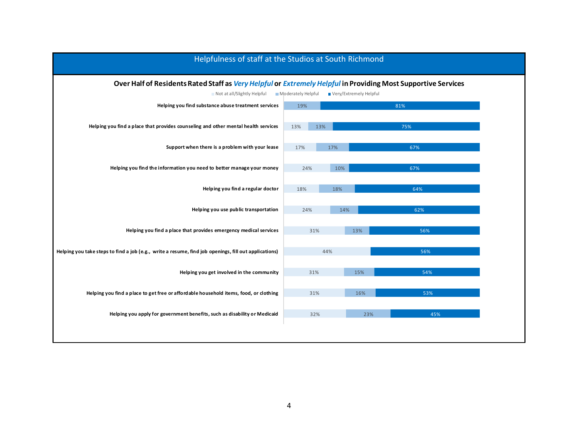| Helpfulness of staff at the Studios at South Richmond                                                                                                      |                    |     |                        |     |
|------------------------------------------------------------------------------------------------------------------------------------------------------------|--------------------|-----|------------------------|-----|
| Over Half of Residents Rated Staff as <i>Very Helpful</i> or <i>Extremely Helpful</i> in Providing Most Supportive Services<br>Not at all/Slightly Helpful | Moderately Helpful |     | Very/Extremely Helpful |     |
| Helping you find substance abuse treatment services                                                                                                        | 19%                | 81% |                        |     |
| Helping you find a place that provides counseling and other mental health services                                                                         | 13%                | 13% |                        | 75% |
| Support when there is a problem with your lease                                                                                                            | 17%                | 17% |                        | 67% |
| Helping you find the information you need to better manage your money                                                                                      | 24%                | 10% |                        | 67% |
| Helping you find a regular doctor                                                                                                                          | 18%                | 18% |                        | 64% |
| Helping you use public transportation                                                                                                                      | 24%                | 14% |                        | 62% |
| Helping you find a place that provides emergency medical services                                                                                          | 31%                |     | 13%                    | 56% |
| Helping you take steps to find a job (e.g., write a resume, find job openings, fill out applications)                                                      |                    | 44% |                        | 56% |
| Helping you get involved in the community                                                                                                                  | 31%                |     | 15%                    | 54% |
| Helping you find a place to get free or affordable household items, food, or clothing                                                                      | 31%                |     | 16%                    | 53% |
| Helping you apply for government benefits, such as disability or Medicaid                                                                                  | 32%                |     | 23%                    | 45% |
|                                                                                                                                                            |                    |     |                        |     |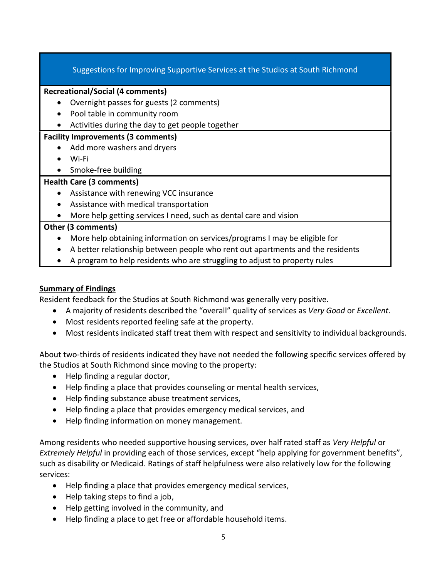# Suggestions for Improving Supportive Services at the Studios at South Richmond

# **Recreational/Social (4 comments)**

- Overnight passes for guests (2 comments)
- Pool table in community room
- Activities during the day to get people together

#### **Facility Improvements (3 comments)**

- Add more washers and dryers
- Wi-Fi
- Smoke-free building

### **Health Care (3 comments)**

- Assistance with renewing VCC insurance
- Assistance with medical transportation

# • More help getting services I need, such as dental care and vision

# **Other (3 comments)**

- More help obtaining information on services/programs I may be eligible for
- A better relationship between people who rent out apartments and the residents
- A program to help residents who are struggling to adjust to property rules

# **Summary of Findings**

Resident feedback for the Studios at South Richmond was generally very positive.

- A majority of residents described the "overall" quality of services as *Very Good* or *Excellent*.
- Most residents reported feeling safe at the property.
- Most residents indicated staff treat them with respect and sensitivity to individual backgrounds.

About two-thirds of residents indicated they have not needed the following specific services offered by the Studios at South Richmond since moving to the property:

- Help finding a regular doctor,
- Help finding a place that provides counseling or mental health services,
- Help finding substance abuse treatment services,
- Help finding a place that provides emergency medical services, and
- Help finding information on money management.

Among residents who needed supportive housing services, over half rated staff as *Very Helpful* or *Extremely Helpful* in providing each of those services, except "help applying for government benefits", such as disability or Medicaid. Ratings of staff helpfulness were also relatively low for the following services:

- Help finding a place that provides emergency medical services,
- Help taking steps to find a job,
- Help getting involved in the community, and
- Help finding a place to get free or affordable household items.